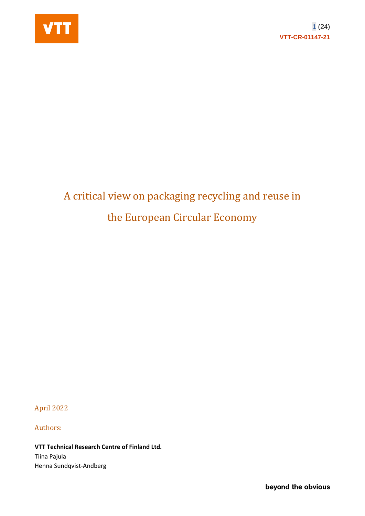

# A critical view on packaging recycling and reuse in the European Circular Economy

April 2022

Authors:

**VTT Technical Research Centre of Finland Ltd.** Tiina Pajula

Henna Sundqvist-Andberg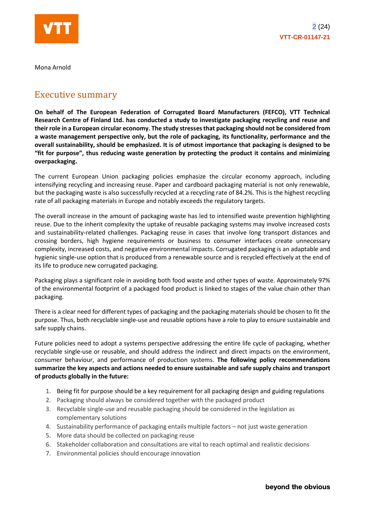

Mona Arnold

# Executive summary

**On behalf of The European Federation of Corrugated Board Manufacturers (FEFCO), VTT Technical Research Centre of Finland Ltd. has conducted a study to investigate packaging recycling and reuse and their role in a European circular economy. The study stresses that packaging should not be considered from a waste management perspective only, but the role of packaging, its functionality, performance and the overall sustainability, should be emphasized. It is of utmost importance that packaging is designed to be "fit for purpose", thus reducing waste generation by protecting the product it contains and minimizing overpackaging.**

The current European Union packaging policies emphasize the circular economy approach, including intensifying recycling and increasing reuse. Paper and cardboard packaging material is not only renewable, but the packaging waste is also successfully recycled at a recycling rate of 84.2%. This is the highest recycling rate of all packaging materials in Europe and notably exceeds the regulatory targets.

The overall increase in the amount of packaging waste has led to intensified waste prevention highlighting reuse. Due to the inherit complexity the uptake of reusable packaging systems may involve increased costs and sustainability-related challenges. Packaging reuse in cases that involve long transport distances and crossing borders, high hygiene requirements or business to consumer interfaces create unnecessary complexity, increased costs, and negative environmental impacts. Corrugated packaging is an adaptable and hygienic single-use option that is produced from a renewable source and is recycled effectively at the end of its life to produce new corrugated packaging.

Packaging plays a significant role in avoiding both food waste and other types of waste. Approximately 97% of the environmental footprint of a packaged food product is linked to stages of the value chain other than packaging.

There is a clear need for different types of packaging and the packaging materials should be chosen to fit the purpose. Thus, both recyclable single-use and reusable options have a role to play to ensure sustainable and safe supply chains.

Future policies need to adopt a systems perspective addressing the entire life cycle of packaging, whether recyclable single-use or reusable, and should address the indirect and direct impacts on the environment, consumer behaviour, and performance of production systems. **The following policy recommendations summarize the key aspects and actions needed to ensure sustainable and safe supply chains and transport of products globally in the future:**

- 1. Being fit for purpose should be a key requirement for all packaging design and guiding regulations
- 2. Packaging should always be considered together with the packaged product
- 3. Recyclable single-use and reusable packaging should be considered in the legislation as complementary solutions
- 4. Sustainability performance of packaging entails multiple factors not just waste generation
- 5. More data should be collected on packaging reuse
- 6. Stakeholder collaboration and consultations are vital to reach optimal and realistic decisions
- 7. Environmental policies should encourage innovation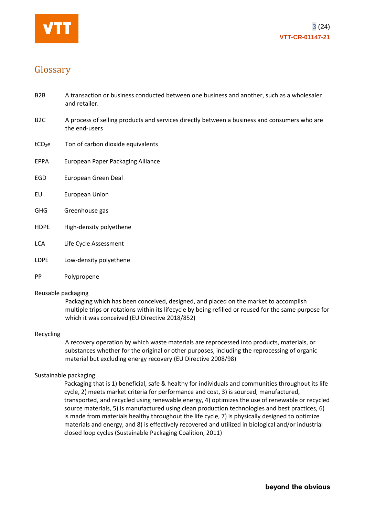

# Glossary

| B <sub>2</sub> B   | A transaction or business conducted between one business and another, such as a wholesaler<br>and retailer.   |
|--------------------|---------------------------------------------------------------------------------------------------------------|
| B <sub>2</sub> C   | A process of selling products and services directly between a business and consumers who are<br>the end-users |
| tCO <sub>2</sub> e | Ton of carbon dioxide equivalents                                                                             |
| <b>EPPA</b>        | European Paper Packaging Alliance                                                                             |
| EGD                | European Green Deal                                                                                           |
| EU                 | European Union                                                                                                |
| <b>GHG</b>         | Greenhouse gas                                                                                                |
| <b>HDPE</b>        | High-density polyethene                                                                                       |
| <b>LCA</b>         | Life Cycle Assessment                                                                                         |
| <b>LDPE</b>        | Low-density polyethene                                                                                        |
| PP                 | Polypropene                                                                                                   |
|                    |                                                                                                               |

#### Reusable packaging

Packaging which has been conceived, designed, and placed on the market to accomplish multiple trips or rotations within its lifecycle by being refilled or reused for the same purpose for which it was conceived (EU Directive 2018/852)

#### Recycling

A recovery operation by which waste materials are reprocessed into products, materials, or substances whether for the original or other purposes, including the reprocessing of organic material but excluding energy recovery (EU Directive 2008/98)

#### Sustainable packaging

Packaging that is 1) beneficial, safe & healthy for individuals and communities throughout its life cycle, 2) meets market criteria for performance and cost, 3) is sourced, manufactured, transported, and recycled using renewable energy, 4) optimizes the use of renewable or recycled source materials, 5) is manufactured using clean production technologies and best practices, 6) is made from materials healthy throughout the life cycle, 7) is physically designed to optimize materials and energy, and 8) is effectively recovered and utilized in biological and/or industrial closed loop cycles (Sustainable Packaging Coalition, 2011)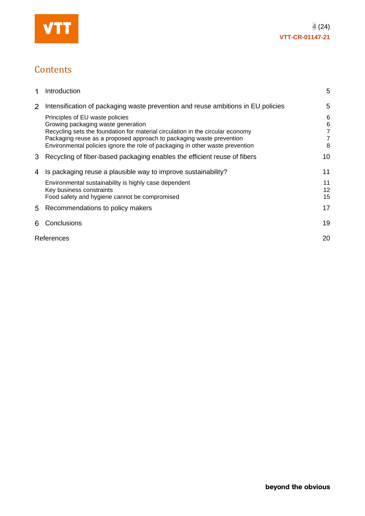

# **Contents**

| 1 | Introduction                                                                                                                                                                                                                                                                                                     | 5                         |
|---|------------------------------------------------------------------------------------------------------------------------------------------------------------------------------------------------------------------------------------------------------------------------------------------------------------------|---------------------------|
| 2 | Intensification of packaging waste prevention and reuse ambitions in EU policies                                                                                                                                                                                                                                 | 5                         |
|   | Principles of EU waste policies<br>Growing packaging waste generation<br>Recycling sets the foundation for material circulation in the circular economy<br>Packaging reuse as a proposed approach to packaging waste prevention<br>Environmental policies ignore the role of packaging in other waste prevention | 6<br>$\,6$<br>7<br>7<br>8 |
| 3 | Recycling of fiber-based packaging enables the efficient reuse of fibers                                                                                                                                                                                                                                         | 10                        |
| 4 | Is packaging reuse a plausible way to improve sustainability?                                                                                                                                                                                                                                                    | 11                        |
|   | Environmental sustainability is highly case dependent<br>Key business constraints<br>Food safety and hygiene cannot be compromised                                                                                                                                                                               | 11<br>12<br>15            |
| 5 | Recommendations to policy makers                                                                                                                                                                                                                                                                                 | 17                        |
| 6 | Conclusions                                                                                                                                                                                                                                                                                                      | 19                        |
|   | References                                                                                                                                                                                                                                                                                                       | 20                        |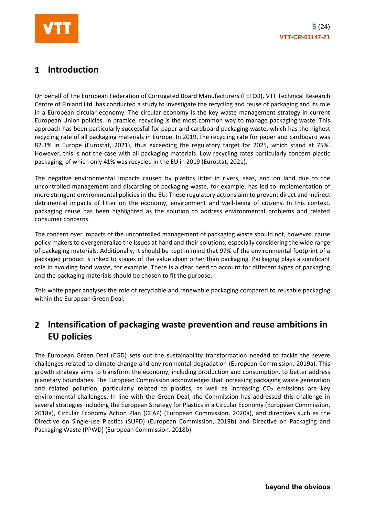

#### <span id="page-4-0"></span> $\mathbf{1}$ **Introduction**

On behalf of the European Federation of Corrugated Board Manufacturers (FEFCO), VTT Technical Research Centre of Finland Ltd. has conducted a study to investigate the recycling and reuse of packaging and its role in a European circular economy. The circular economy is the key waste management strategy in current European Union policies. In practice, recycling is the most common way to manage packaging waste. This approach has been particularly successful for paper and cardboard packaging waste, which has the highest recycling rate of all packaging materials in Europe. In 2019, the recycling rate for paper and cardboard was 82.3% in Europe (Eurostat, 2021), thus exceeding the regulatory target for 2025, which stand at 75%. However, this is not the case with all packaging materials. Low recycling rates particularly concern plastic packaging, of which only 41% was recycled in the EU in 2019 (Eurostat, 2021).

The negative environmental impacts caused by plastics litter in rivers, seas, and on land due to the uncontrolled management and discarding of packaging waste, for example, has led to implementation of more stringent environmental policies in the EU. These regulatory actions aim to prevent direct and indirect detrimental impacts of litter on the economy, environment and well-being of citizens. In this context, packaging reuse has been highlighted as the solution to address environmental problems and related consumer concerns.

The concern over impacts of the uncontrolled management of packaging waste should not, however, cause policy makers to overgeneralize the issues at hand and their solutions, especially considering the wide range of packaging materials. Additionally, it should be kept in mind that 97% of the environmental footprint of a packaged product is linked to stages of the value chain other than packaging. Packaging plays a significant role in avoiding food waste, for example. There is a clear need to account for different types of packaging and the packaging materials should be chosen to fit the purpose.

This white paper analyses the role of recyclable and renewable packaging compared to reusable packaging within the European Green Deal.

#### <span id="page-4-1"></span>**Intensification of packaging waste prevention and reuse ambitions in**   $2<sup>1</sup>$ **EU policies**

The European Green Deal (EGD) sets out the sustainability transformation needed to tackle the severe challenges related to climate change and environmental degradation (European Commission, 2019a). This growth strategy aims to transform the economy, including production and consumption, to better address planetary boundaries. The European Commission acknowledges that increasing packaging waste generation and related pollution, particularly related to plastics, as well as increasing  $CO<sub>2</sub>$  emissions are key environmental challenges. In line with the Green Deal, the Commission has addressed this challenge in several strategies including the European Strategy for Plastics in a Circular Economy (European Commission, 2018a), Circular Economy Action Plan (CEAP) (European Commission, 2020a), and directives such as the Directive on Single-use Plastics (SUPD) (European Commission, 2019b) and Directive on Packaging and Packaging Waste (PPWD) (European Commission, 2018b).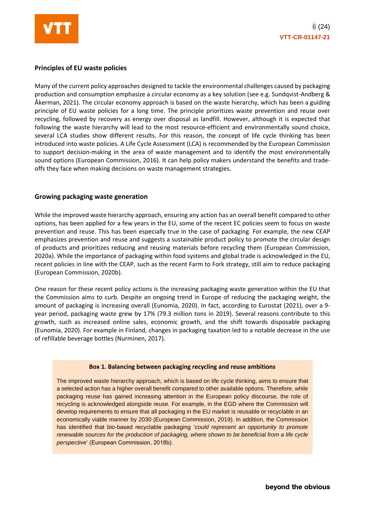

#### <span id="page-5-0"></span>**Principles of EU waste policies**

Many of the current policy approaches designed to tackle the environmental challenges caused by packaging production and consumption emphasize a circular economy as a key solution (see e.g. Sundqvist-Andberg & Åkerman, 2021). The circular economy approach is based on the waste hierarchy, which has been a guiding principle of EU waste policies for a long time. The principle prioritizes waste prevention and reuse over recycling, followed by recovery as energy over disposal as landfill. However, although it is expected that following the waste hierarchy will lead to the most [resource-efficient](https://en.wikipedia.org/wiki/Resource-efficient) and environmentally sound choice, several LCA studies show different results. For this reason, the concept of life cycle thinking has been introduced into waste policies. A Life Cycle Assessment (LCA) is recommended by the European Commission to support decision-making in the area of waste management and to identify the most environmentally sound options (European Commission, 2016). It can help policy makers understand the benefits and tradeoffs they face when making decisions on waste management strategies.

#### <span id="page-5-1"></span>**Growing packaging waste generation**

While the improved waste hierarchy approach, ensuring any action has an overall benefit compared to other options, has been applied for a few years in the EU, some of the recent EC policies seem to focus on waste prevention and reuse. This has been especially true in the case of packaging. For example, the new CEAP emphasizes prevention and reuse and suggests a sustainable product policy to promote the circular design of products and prioritizes reducing and reusing materials before recycling them (European Commission, 2020a). While the importance of packaging within food systems and global trade is acknowledged in the EU, recent policies in line with the CEAP, such as the recent Farm to Fork strategy, still aim to reduce packaging (European Commission, 2020b).

One reason for these recent policy actions is the increasing packaging waste generation within the EU that the Commission aims to curb. Despite an ongoing trend in Europe of reducing the packaging weight, the amount of packaging is increasing overall (Eunomia, 2020). In fact, according to Eurostat (2021), over a 9 year period, packaging waste grew by 17% (79.3 million tons in 2019). Several reasons contribute to this growth, such as increased online sales, economic growth, and the shift towards disposable packaging (Eunomia, 2020). For example in Finland, changes in packaging taxation led to a notable decrease in the use of refillable beverage bottles (Nurminen, 2017).

#### **Box 1. Balancing between packaging recycling and reuse ambitions**

The improved waste hierarchy approach, which is based on life cycle thinking, aims to ensure that a selected action has a higher overall benefit compared to other available options. Therefore, while packaging reuse has gained increasing attention in the European policy discourse, the role of recycling is acknowledged alongside reuse. For example, in the EGD where the Commission will develop requirements to ensure that all packaging in the EU market is reusable or recyclable in an economically viable manner by 2030 (European Commission, 2019). In addition, the Commission has identified that bio-based recyclable packaging '*could represent an opportunity to promote renewable sources for the production of packaging, where shown to be beneficial from a life cycle perspective*' (European Commission, 2018b).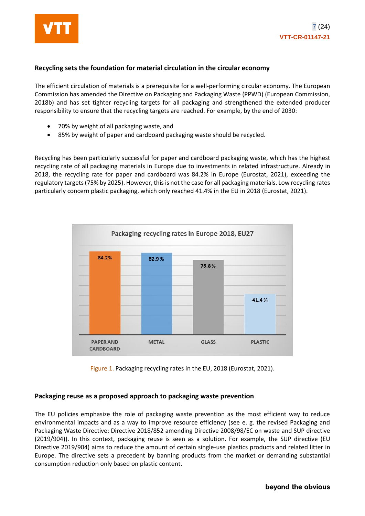

#### <span id="page-6-0"></span>**Recycling sets the foundation for material circulation in the circular economy**

The efficient circulation of materials is a prerequisite for a well-performing circular economy. The European Commission has amended the Directive on Packaging and Packaging Waste (PPWD) (European Commission, 2018b) and has set tighter recycling targets for all packaging and strengthened the extended producer responsibility to ensure that the recycling targets are reached. For example, by the end of 2030:

- 70% by weight of all packaging waste, and
- 85% by weight of paper and cardboard packaging waste should be recycled.

Recycling has been particularly successful for paper and cardboard packaging waste, which has the highest recycling rate of all packaging materials in Europe due to investments in related infrastructure. Already in 2018, the recycling rate for paper and cardboard was 84.2% in Europe (Eurostat, 2021), exceeding the regulatory targets(75% by 2025). However, this is not the case for all packaging materials. Low recycling rates particularly concern plastic packaging, which only reached 41.4% in the EU in 2018 (Eurostat, 2021).



Figure 1. Packaging recycling rates in the EU, 2018 (Eurostat, 2021).

#### <span id="page-6-1"></span>**Packaging reuse as a proposed approach to packaging waste prevention**

The EU policies emphasize the role of packaging waste prevention as the most efficient way to reduce environmental impacts and as a way to improve resource efficiency (see e. g. the revised Packaging and Packaging Waste Directive: Directive 2018/852 amending Directive 2008/98/EC on waste and SUP directive (2019/904)). In this context, packaging reuse is seen as a solution. For example, the SUP directive (EU Directive 2019/904) aims to reduce the amount of certain single-use plastics products and related litter in Europe. The directive sets a precedent by banning products from the market or demanding substantial consumption reduction only based on plastic content.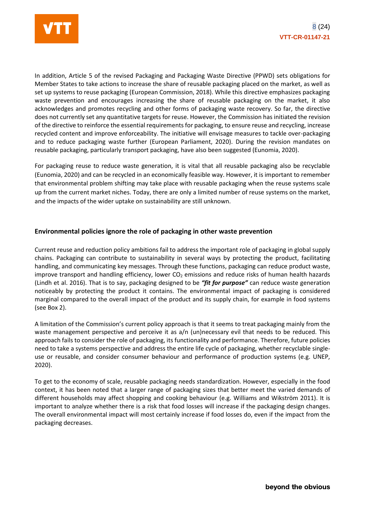

In addition, Article 5 of the revised Packaging and Packaging Waste Directive (PPWD) sets obligations for Member States to take actions to increase the share of reusable packaging placed on the market, as well as set up systems to reuse packaging (European Commission, 2018). While this directive emphasizes packaging waste prevention and encourages increasing the share of reusable packaging on the market, it also acknowledges and promotes recycling and other forms of packaging waste recovery. So far, the directive does not currently set any quantitative targets for reuse. However, the Commission has initiated the revision of the directive to reinforce the essential requirements for packaging, to ensure reuse and recycling, increase recycled content and improve enforceability. The initiative will envisage measures to tackle over-packaging and to reduce packaging waste further (European Parliament, 2020). During the revision mandates on reusable packaging, particularly transport packaging, have also been suggested (Eunomia, 2020).

For packaging reuse to reduce waste generation, it is vital that all reusable packaging also be recyclable (Eunomia, 2020) and can be recycled in an economically feasible way. However, it is important to remember that environmental problem shifting may take place with reusable packaging when the reuse systems scale up from the current market niches. Today, there are only a limited number of reuse systems on the market, and the impacts of the wider uptake on sustainability are still unknown.

#### <span id="page-7-0"></span>**Environmental policies ignore the role of packaging in other waste prevention**

Current reuse and reduction policy ambitions fail to address the important role of packaging in global supply chains. Packaging can contribute to sustainability in several ways by protecting the product, facilitating handling, and communicating key messages. Through these functions, packaging can reduce product waste, improve transport and handling efficiency, lower  $CO<sub>2</sub>$  emissions and reduce risks of human health hazards (Lindh et al. 2016). That is to say, packaging designed to be *"fit for purpose"* can reduce waste generation noticeably by protecting the product it contains. The environmental impact of packaging is considered marginal compared to the overall impact of the product and its supply chain, for example in food systems (see Box 2).

A limitation of the Commission's current policy approach is that it seems to treat packaging mainly from the waste management perspective and perceive it as  $a/n$  (un)necessary evil that needs to be reduced. This approach fails to consider the role of packaging, its functionality and performance. Therefore, future policies need to take a systems perspective and address the entire life cycle of packaging, whether recyclable singleuse or reusable, and consider consumer behaviour and performance of production systems (e.g. UNEP, 2020).

To get to the economy of scale, reusable packaging needs standardization. However, especially in the food context, it has been noted that a larger range of packaging sizes that better meet the varied demands of different households may affect shopping and cooking behaviour (e.g. Williams and Wikström 2011). It is important to analyze whether there is a risk that food losses will increase if the packaging design changes. The overall environmental impact will most certainly increase if food losses do, even if the impact from the packaging decreases.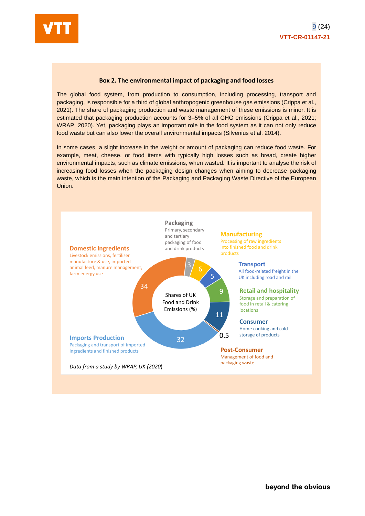

#### **Box 2. The environmental impact of packaging and food losses**

The global food system, from production to consumption, including processing, transport and packaging, is responsible for a third of global anthropogenic greenhouse gas emissions (Crippa et al., 2021). The share of packaging production and waste management of these emissions is minor. It is estimated that packaging production accounts for 3–5% of all GHG emissions (Crippa et al., 2021; WRAP, 2020). Yet, packaging plays an important role in the food system as it can not only reduce food waste but can also lower the overall environmental impacts (Silvenius et al. 2014).

In some cases, a slight increase in the weight or amount of packaging can reduce food waste. For example, meat, cheese, or food items with typically high losses such as bread, create higher environmental impacts, such as climate emissions, when wasted. It is important to analyse the risk of increasing food losses when the packaging design changes when aiming to decrease packaging waste, which is the main intention of the Packaging and Packaging Waste Directive of the European Union.

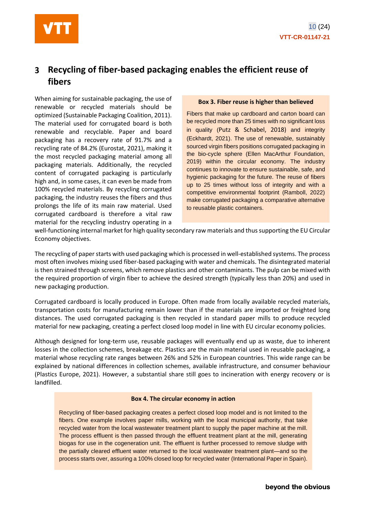#### <span id="page-9-0"></span>**Recycling of fiber-based packaging enables the efficient reuse of**   $3<sup>7</sup>$ **fibers**

When aiming for sustainable packaging, the use of renewable or recycled materials should be optimized (Sustainable Packaging Coalition, 2011). The material used for corrugated board is both renewable and recyclable. Paper and board packaging has a recovery rate of 91.7% and a recycling rate of 84.2% (Eurostat, 2021), making it the most recycled packaging material among all packaging materials. Additionally, the recycled content of corrugated packaging is particularly high and, in some cases, it can even be made from 100% recycled materials. By recycling corrugated packaging, the industry reuses the fibers and thus prolongs the life of its main raw material. Used corrugated cardboard is therefore a vital raw material for the recycling industry operating in a

#### **Box 3. Fiber reuse is higher than believed**

Fibers that make up cardboard and carton board can be recycled more than 25 times with no significant loss in quality (Putz & Schabel, 2018) and integrity (Eckhardt, 2021). The use of renewable, sustainably sourced virgin fibers positions corrugated packaging in the bio-cycle sphere (Ellen MacArthur Foundation, 2019) within the circular economy. The industry continues to innovate to ensure sustainable, safe, and hygienic packaging for the future. The reuse of fibers up to 25 times without loss of integrity and with a competitive environmental footprint (Ramboll, 2022) make corrugated packaging a comparative alternative to reusable plastic containers.

well-functioning internal market for high quality secondary raw materials and thus supporting the EU Circular Economy objectives.

The recycling of paper starts with used packaging which is processed in well-established systems. The process most often involves mixing used fiber-based packaging with water and chemicals. The disintegrated material is then strained through screens, which remove plastics and other contaminants. The pulp can be mixed with the required proportion of virgin fiber to achieve the desired strength (typically less than 20%) and used in new packaging production.

Corrugated cardboard is locally produced in Europe. Often made from locally available recycled materials, transportation costs for manufacturing remain lower than if the materials are imported or freighted long distances. The used corrugated packaging is then recycled in standard paper mills to produce recycled material for new packaging, creating a perfect closed loop model in line with EU circular economy policies.

Although designed for long-term use, reusable packages will eventually end up as waste, due to inherent losses in the collection schemes, breakage etc. Plastics are the main material used in reusable packaging, a material whose recycling rate ranges between 26% and 52% in European countries. This wide range can be explained by national differences in collection schemes, available infrastructure, and consumer behaviour (Plastics Europe, 2021). However, a substantial share still goes to incineration with energy recovery or is landfilled.

#### **Box 4. The circular economy in action**

Recycling of fiber-based packaging creates a perfect closed loop model and is not limited to the fibers. One example involves paper mills, working with the local municipal authority, that take recycled water from the local wastewater treatment plant to supply the paper machine at the mill. The process effluent is then passed through the effluent treatment plant at the mill, generating biogas for use in the cogeneration unit. The effluent is further processed to remove sludge with the partially cleared effluent water returned to the local wastewater treatment plant—and so the process starts over, assuring a 100% closed loop for recycled water (International Paper in Spain).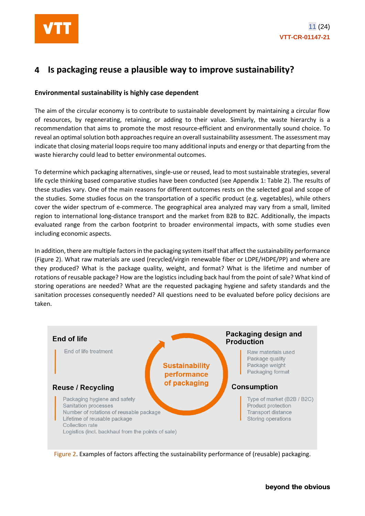

#### <span id="page-10-0"></span>**Is packaging reuse a plausible way to improve sustainability?** 4

#### <span id="page-10-1"></span>**Environmental sustainability is highly case dependent**

The aim of the circular economy is to contribute to sustainable development by maintaining a circular flow of resources, by regenerating, retaining, or adding to their value. Similarly, the waste hierarchy is a recommendation that aims to promote the most resource-efficient and environmentally sound choice. To reveal an optimal solution both approaches require an overall sustainability assessment. The assessment may indicate that closing material loops require too many additional inputs and energy or that departing from the waste hierarchy could lead to better environmental outcomes.

To determine which packaging alternatives, single-use or reused, lead to most sustainable strategies, several life cycle thinking based comparative studies have been conducted (see Appendix 1: Table 2). The results of these studies vary. One of the main reasons for different outcomes rests on the selected goal and scope of the studies. Some studies focus on the transportation of a specific product (e.g. vegetables), while others cover the wider spectrum of e-commerce. The geographical area analyzed may vary from a small, limited region to international long-distance transport and the market from B2B to B2C. Additionally, the impacts evaluated range from the carbon footprint to broader environmental impacts, with some studies even including economic aspects.

In addition, there are multiple factors in the packaging system itself that affect the sustainability performance (Figure 2). What raw materials are used (recycled/virgin renewable fiber or LDPE/HDPE/PP) and where are they produced? What is the package quality, weight, and format? What is the lifetime and number of rotations of reusable package? How are the logistics including back haul from the point of sale? What kind of storing operations are needed? What are the requested packaging hygiene and safety standards and the sanitation processes consequently needed? All questions need to be evaluated before policy decisions are taken.



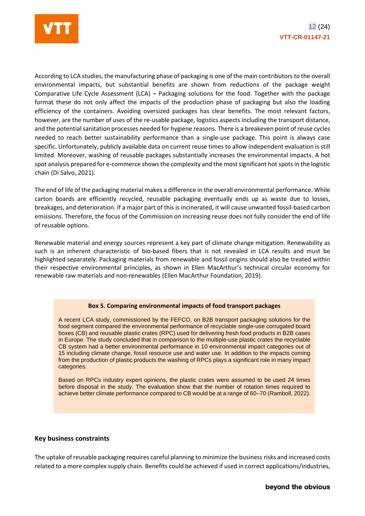

According to LCA studies, the manufacturing phase of packaging is one of the main contributors to the overall environmental impacts, but substantial benefits are shown from reductions of the package weight Comparative Life Cycle Assessment (LCA) – Packaging solutions for the food. Together with the package format these do not only affect the impacts of the production phase of packaging but also the loading efficiency of the containers. Avoiding oversized packages has clear benefits. The most relevant factors, however, are the number of uses of the re-usable package, logistics aspects including the transport distance, and the potential sanitation processes needed for hygiene reasons. There is a breakeven point of reuse cycles needed to reach better sustainability performance than a single-use package. This point is always case specific. Unfortunately, publicly available data on current reuse times to allow independent evaluation is still limited. Moreover, washing of reusable packages substantially increases the environmental impacts. A hot spot analysis prepared for e-commerce shows the complexity and the most significant hot spots in the logistic chain (Di Salvo, 2021).

The end of life of the packaging material makes a difference in the overall environmental performance. While carton boards are efficiently recycled, reusable packaging eventually ends up as waste due to losses, breakages, and deterioration. If a major part of this is incinerated, it will cause unwanted fossil-based carbon emissions. Therefore, the focus of the Commission on increasing reuse does not fully consider the end of life of reusable options.

Renewable material and energy sources represent a key part of climate change mitigation. Renewability as such is an inherent characteristic of bio-based fibers that is not revealed in LCA results and must be highlighted separately. Packaging materials from renewable and fossil origins should also be treated within their respective environmental principles, as shown in Ellen MacArthur's technical circular economy for renewable raw materials and non-renewables (Ellen MacArthur Foundation, 2019).

#### **Box 5. Comparing environmental impacts of food transport packages**

A recent LCA study, commissioned by the FEFCO, on B2B transport packaging solutions for the food segment compared the environmental performance of recyclable single-use corrugated board boxes (CB) and reusable plastic crates (RPC) used for delivering fresh food products in B2B cases in Europe. The study concluded that in comparison to the multiple-use plastic crates the recyclable CB system had a better environmental performance in 10 environmental impact categories out of 15 including climate change, fossil resource use and water use. In addition to the impacts coming from the production of plastic products the washing of RPCs plays a significant role in many impact categories.

Based on RPCs industry expert opinions, the plastic crates were assumed to be used 24 times before disposal in the study. The evaluation show that the number of rotation times required to achieve better climate performance compared to CB would be at a range of 60–70 (Ramboll, 2022).

#### <span id="page-11-0"></span>**Key business constraints**

The uptake of reusable packaging requires careful planning to minimize the businessrisks and increased costs related to a more complex supply chain. Benefits could be achieved if used in correct applications/industries,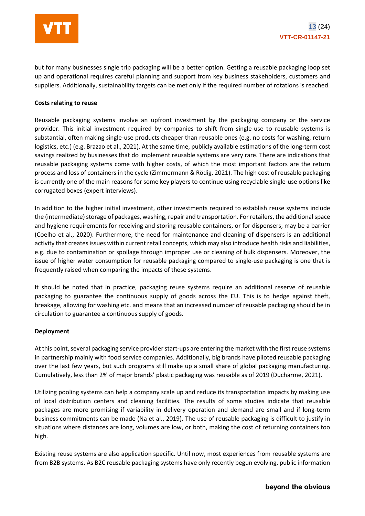

but for many businesses single trip packaging will be a better option. Getting a reusable packaging loop set up and operational requires careful planning and support from key business stakeholders, customers and suppliers. Additionally, sustainability targets can be met only if the required number of rotations is reached.

#### **Costs relating to reuse**

Reusable packaging systems involve an upfront investment by the packaging company or the service provider. This initial investment required by companies to shift from single-use to reusable systems is substantial, often making single-use products cheaper than reusable ones (e.g. no costs for washing, return logistics, etc.) (e.g. Brazao et al., 2021). At the same time, publicly available estimations of the long-term cost savings realized by businesses that do implement reusable systems are very rare. There are indications that reusable packaging systems come with higher costs, of which the most important factors are the return process and loss of containers in the cycle (Zimmermann & Rödig, 2021). The high cost of reusable packaging is currently one of the main reasons for some key players to continue using recyclable single-use options like corrugated boxes (expert interviews).

In addition to the higher initial investment, other investments required to establish reuse systems include the (intermediate) storage of packages, washing, repair and transportation. For retailers, the additional space and hygiene requirements for receiving and storing reusable containers, or for dispensers, may be a barrier (Coelho et al., 2020). Furthermore, the need for maintenance and cleaning of dispensers is an additional activity that creates issues within current retail concepts, which may also introduce health risks and liabilities, e.g. due to contamination or spoilage through improper use or cleaning of bulk dispensers. Moreover, the issue of higher water consumption for reusable packaging compared to single-use packaging is one that is frequently raised when comparing the impacts of these systems.

It should be noted that in practice, packaging reuse systems require an additional reserve of reusable packaging to guarantee the continuous supply of goods across the EU. This is to hedge against theft, breakage, allowing for washing etc. and means that an increased number of reusable packaging should be in circulation to guarantee a continuous supply of goods.

#### **Deployment**

At this point, several packaging service provider start-ups are entering the market with the first reuse systems in partnership mainly with food service companies. Additionally, big brands have piloted reusable packaging over the last few years, but such programs still make up a small share of global packaging manufacturing. Cumulatively, less than 2% of major brands' plastic packaging was reusable as of 2019 (Ducharme, 2021).

Utilizing pooling systems can help a company scale up and reduce its transportation impacts by making use of local distribution centers and cleaning facilities. The results of some studies indicate that reusable packages are more promising if variability in delivery operation and demand are small and if long-term business commitments can be made (Na et al., 2019). The use of reusable packaging is difficult to justify in situations where distances are long, volumes are low, or both, making the cost of returning containers too high.

Existing reuse systems are also application specific. Until now, most experiences from reusable systems are from B2B systems. As B2C reusable packaging systems have only recently begun evolving, public information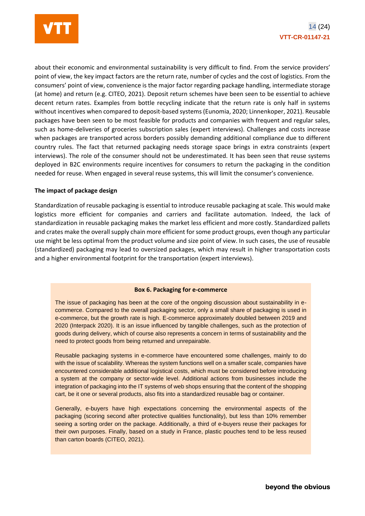

about their economic and environmental sustainability is very difficult to find. From the service providers' point of view, the key impact factors are the return rate, number of cycles and the cost of logistics. From the consumers' point of view, convenience is the major factor regarding package handling, intermediate storage (at home) and return (e.g. CITEO, 2021). Deposit return schemes have been seen to be essential to achieve decent return rates. Examples from bottle recycling indicate that the return rate is only half in systems without incentives when compared to deposit-based systems (Eunomia, 2020; Linnenkoper, 2021). Reusable packages have been seen to be most feasible for products and companies with frequent and regular sales, such as home-deliveries of groceries subscription sales (expert interviews). Challenges and costs increase when packages are transported across borders possibly demanding additional compliance due to different country rules. The fact that returned packaging needs storage space brings in extra constraints (expert interviews). The role of the consumer should not be underestimated. It has been seen that reuse systems deployed in B2C environments require incentives for consumers to return the packaging in the condition needed for reuse. When engaged in several reuse systems, this will limit the consumer's convenience.

#### **The impact of package design**

Standardization of reusable packaging is essential to introduce reusable packaging at scale. This would make logistics more efficient for companies and carriers and facilitate automation. Indeed, the lack of standardization in reusable packaging makes the market less efficient and more costly. Standardized pallets and crates make the overall supply chain more efficient for some product groups, even though any particular use might be less optimal from the product volume and size point of view. In such cases, the use of reusable (standardized) packaging may lead to oversized packages, which may result in higher transportation costs and a higher environmental footprint for the transportation (expert interviews).

#### **Box 6. Packaging for e-commerce**

The issue of packaging has been at the core of the ongoing discussion about sustainability in ecommerce. Compared to the overall packaging sector, only a small share of packaging is used in e-commerce, but the growth rate is high. E-commerce approximately doubled between 2019 and 2020 (Interpack 2020). It is an issue influenced by tangible challenges, such as the protection of goods during delivery, which of course also represents a concern in terms of sustainability and the need to protect goods from being returned and unrepairable.

Reusable packaging systems in e-commerce have encountered some challenges, mainly to do with the issue of scalability. Whereas the system functions well on a smaller scale, companies have encountered considerable additional logistical costs, which must be considered before introducing a system at the company or sector-wide level. Additional actions from businesses include the integration of packaging into the IT systems of web shops ensuring that the content of the shopping cart, be it one or several products, also fits into a standardized reusable bag or container.

Generally, e-buyers have high expectations concerning the environmental aspects of the packaging (scoring second after protective qualities functionality), but less than 10% remember seeing a sorting order on the package. Additionally, a third of e-buyers reuse their packages for their own purposes. Finally, based on a study in France, plastic pouches tend to be less reused than carton boards (CITEO, 2021).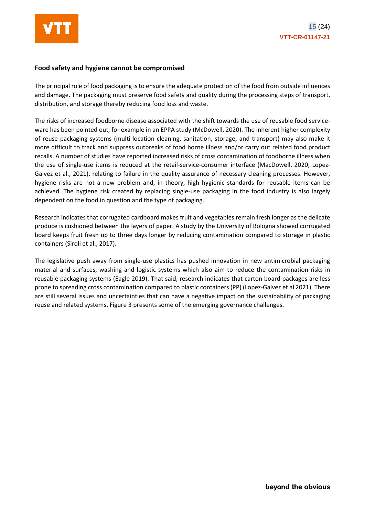#### <span id="page-14-0"></span>**Food safety and hygiene cannot be compromised**

The principal role of food packaging is to ensure the adequate protection of the food from outside influences and damage. The packaging must preserve food safety and quality during the processing steps of transport, distribution, and storage thereby reducing food loss and waste.

The risks of increased foodborne disease associated with the shift towards the use of reusable food serviceware has been pointed out, for example in an EPPA study (McDowell, 2020). The inherent higher complexity of reuse packaging systems (multi-location cleaning, sanitation, storage, and transport) may also make it more difficult to track and suppress outbreaks of food borne illness and/or carry out related food product recalls. A number of studies have reported increased risks of cross contamination of foodborne illness when the use of single-use items is reduced at the retail-service-consumer interface (MacDowell, 2020; Lopez-Galvez et al., 2021), relating to failure in the quality assurance of necessary cleaning processes. However, hygiene risks are not a new problem and, in theory, high hygienic standards for reusable items can be achieved. The hygiene risk created by replacing single-use packaging in the food industry is also largely dependent on the food in question and the type of packaging.

Research indicates that corrugated cardboard makes fruit and vegetables remain fresh longer as the delicate produce is cushioned between the layers of paper. A study by the University of Bologna showed corrugated board keeps fruit fresh up to three days longer by reducing contamination compared to storage in plastic containers (Siroli et al., 2017).

The legislative push away from single-use plastics has pushed innovation in new antimicrobial packaging material and surfaces, washing and logistic systems which also aim to reduce the contamination risks in reusable packaging systems (Eagle 2019). That said, research indicates that carton board packages are less prone to spreading cross contamination compared to plastic containers (PP) (Lopez-Galvez et al 2021). There are still several issues and uncertainties that can have a negative impact on the sustainability of packaging reuse and related systems. Figure 3 presents some of the emerging governance challenges.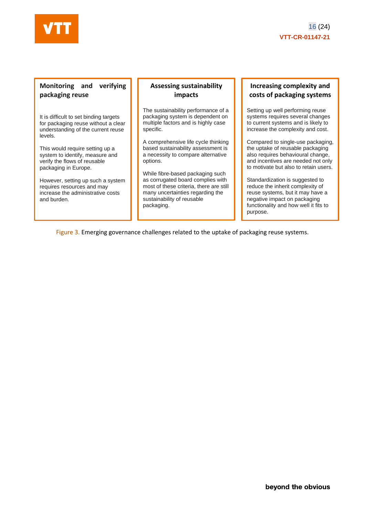

### **Monitoring and verifying packaging reuse**

It is difficult to set binding targets for packaging reuse without a clear understanding of the current reuse levels.

This would require setting up a system to identify, measure and verify the flows of reusable packaging in Europe.

However, setting up such a system requires resources and may increase the administrative costs and burden.

### **Assessing sustainability impacts**

The sustainability performance of a packaging system is dependent on multiple factors and is highly case specific.

A comprehensive life cycle thinking based sustainability assessment is a necessity to compare alternative options.

While fibre-based packaging such as corrugated board complies with most of these criteria, there are still many uncertainties regarding the sustainability of reusable packaging.

### **Increasing complexity and costs of packaging systems**

Setting up well performing reuse systems requires several changes to current systems and is likely to increase the complexity and cost.

Compared to single-use packaging, the uptake of reusable packaging also requires behavioural change, and incentives are needed not only to motivate but also to retain users.

Standardization is suggested to reduce the inherit complexity of reuse systems, but it may have a negative impact on packaging functionality and how well it fits to purpose.

Figure 3. Emerging governance challenges related to the uptake of packaging reuse systems.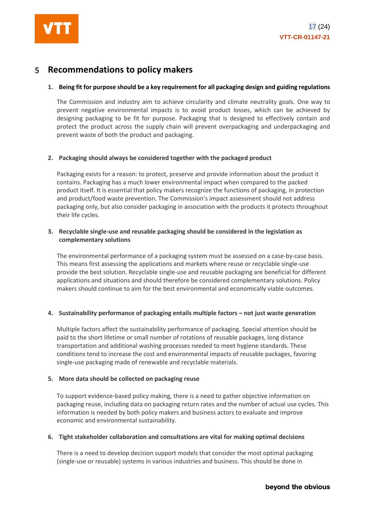

#### <span id="page-16-0"></span>5 **Recommendations to policy makers**

#### **1. Being fit for purpose should be a key requirement for all packaging design and guiding regulations**

The Commission and industry aim to achieve circularity and climate neutrality goals. One way to prevent negative environmental impacts is to avoid product losses, which can be achieved by designing packaging to be fit for purpose. Packaging that is designed to effectively contain and protect the product across the supply chain will prevent overpackaging and underpackaging and prevent waste of both the product and packaging.

#### **2. Packaging should always be considered together with the packaged product**

Packaging exists for a reason: to protect, preserve and provide information about the product it contains. Packaging has a much lower environmental impact when compared to the packed product itself. It is essential that policy makers recognize the functions of packaging, in protection and product/food waste prevention. The Commission's impact assessment should not address packaging only, but also consider packaging in association with the products it protects throughout their life cycles.

#### **3. Recyclable single-use and reusable packaging should be considered in the legislation as complementary solutions**

The environmental performance of a packaging system must be assessed on a case-by-case basis. This means first assessing the applications and markets where reuse or recyclable single-use provide the best solution. Recyclable single-use and reusable packaging are beneficial for different applications and situations and should therefore be considered complementary solutions. Policy makers should continue to aim for the best environmental and economically viable outcomes.

### **4. Sustainability performance of packaging entails multiple factors – not just waste generation**

Multiple factors affect the sustainability performance of packaging. Special attention should be paid to the short lifetime or small number of rotations of reusable packages, long distance transportation and additional washing processes needed to meet hygiene standards. These conditions tend to increase the cost and environmental impacts of reusable packages, favoring single-use packaging made of renewable and recyclable materials.

### **5. More data should be collected on packaging reuse**

To support evidence-based policy making, there is a need to gather objective information on packaging reuse, including data on packaging return rates and the number of actual use cycles. This information is needed by both policy makers and business actors to evaluate and improve economic and environmental sustainability.

#### **6. Tight stakeholder collaboration and consultations are vital for making optimal decisions**

There is a need to develop decision support models that consider the most optimal packaging (single-use or reusable) systems in various industries and business. This should be done in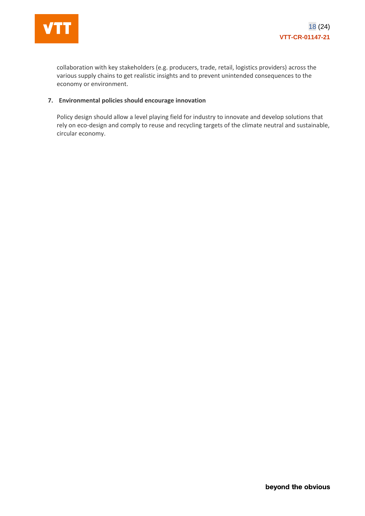

collaboration with key stakeholders (e.g. producers, trade, retail, logistics providers) across the various supply chains to get realistic insights and to prevent unintended consequences to the economy or environment.

#### **7. Environmental policies should encourage innovation**

Policy design should allow a level playing field for industry to innovate and develop solutions that rely on eco-design and comply to reuse and recycling targets of the climate neutral and sustainable, circular economy.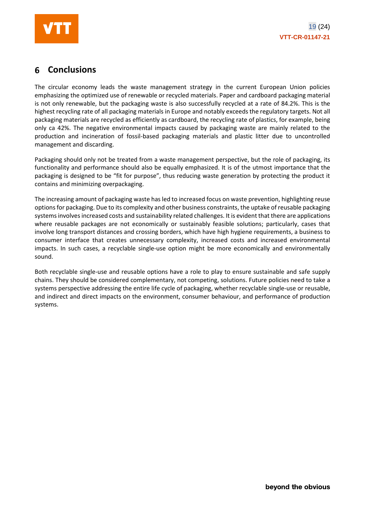

#### <span id="page-18-0"></span>6 **Conclusions**

The circular economy leads the waste management strategy in the current European Union policies emphasizing the optimized use of renewable or recycled materials. Paper and cardboard packaging material is not only renewable, but the packaging waste is also successfully recycled at a rate of 84.2%. This is the highest recycling rate of all packaging materials in Europe and notably exceeds the regulatory targets. Not all packaging materials are recycled as efficiently as cardboard, the recycling rate of plastics, for example, being only ca 42%. The negative environmental impacts caused by packaging waste are mainly related to the production and incineration of fossil-based packaging materials and plastic litter due to uncontrolled management and discarding.

Packaging should only not be treated from a waste management perspective, but the role of packaging, its functionality and performance should also be equally emphasized. It is of the utmost importance that the packaging is designed to be "fit for purpose", thus reducing waste generation by protecting the product it contains and minimizing overpackaging.

The increasing amount of packaging waste has led to increased focus on waste prevention, highlighting reuse options for packaging. Due to its complexity and other business constraints, the uptake of reusable packaging systems involvesincreased costs and sustainability related challenges. It is evident that there are applications where reusable packages are not economically or sustainably feasible solutions; particularly, cases that involve long transport distances and crossing borders, which have high hygiene requirements, a business to consumer interface that creates unnecessary complexity, increased costs and increased environmental impacts. In such cases, a recyclable single-use option might be more economically and environmentally sound.

Both recyclable single-use and reusable options have a role to play to ensure sustainable and safe supply chains. They should be considered complementary, not competing, solutions. Future policies need to take a systems perspective addressing the entire life cycle of packaging, whether recyclable single-use or reusable, and indirect and direct impacts on the environment, consumer behaviour, and performance of production systems.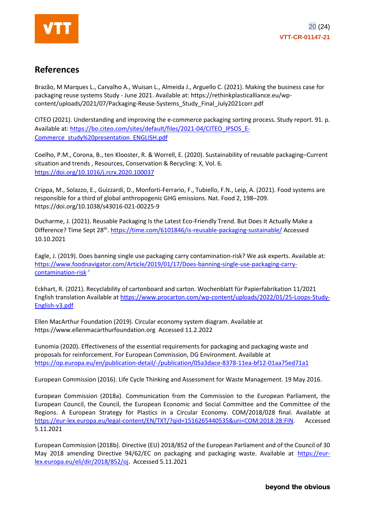

## <span id="page-19-0"></span>**References**

Brazão, M Marques L., Carvalho A., Wuisan L., Almeida J., Arguello C. (2021). Making the business case for packaging reuse systems Study - June 2021. Available at: https://rethinkplasticalliance.eu/wpcontent/uploads/2021/07/Packaging-Reuse-Systems\_Study\_Final\_July2021corr.pdf

CITEO (2021). Understanding and improving the e-commerce packaging sorting process. Study report. 91. p. Available at: [https://bo.citeo.com/sites/default/files/2021-04/CITEO\\_IPSOS\\_E-](https://bo.citeo.com/sites/default/files/2021-04/CITEO_IPSOS_E-Commerce_study%20presentation_ENGLISH.pdf)[Commerce\\_study%20presentation\\_ENGLISH.pdf](https://bo.citeo.com/sites/default/files/2021-04/CITEO_IPSOS_E-Commerce_study%20presentation_ENGLISH.pdf)

Coelho, P.M., Corona, B., ten Klooster, R. & Worrell, E. (2020). Sustainability of reusable packaging–Current situation and trends , Resources, Conservation & Recycling: X, Vol. 6. <https://doi.org/10.1016/j.rcrx.2020.100037>

Crippa, M., Solazzo, E., Guizzardi, D., Monforti-Ferrario, F., Tubiello, F.N., Leip, A. (2021). Food systems are responsible for a third of global anthropogenic GHG emissions. Nat. Food 2, 198–209. https://doi.org/10.1038/s43016-021-00225-9

Ducharme, J. (2021). Reusable Packaging Is the Latest Eco-Friendly Trend. But Does It Actually Make a Difference? Time Sept 28<sup>th</sup>[. https://time.com/6101846/is-reusable-packaging-sustainable/](https://time.com/6101846/is-reusable-packaging-sustainable/) Accessed 10.10.2021

Eagle, J. (2019). Does banning single use packaging carry contamination-risk? We ask experts. Available at: [https://www.foodnavigator.com/Article/2019/01/17/Does-banning-single-use-packaging-carry](https://www.foodnavigator.com/Article/2019/01/17/Does-banning-single-use-packaging-carry-contamination-risk)[contamination-risk](https://www.foodnavigator.com/Article/2019/01/17/Does-banning-single-use-packaging-carry-contamination-risk) '

Eckhart, R. (2021). Recyclability of cartonboard and carton. Wochenblatt für Papierfabrikation 11/2021 English translation Available at [https://www.procarton.com/wp-content/uploads/2022/01/25-Loops-Study-](https://www.procarton.com/wp-content/uploads/2022/01/25-Loops-Study-English-v3.pdf)[English-v3.pdf](https://www.procarton.com/wp-content/uploads/2022/01/25-Loops-Study-English-v3.pdf)

Ellen MacArthur Foundation (2019). Circular economy system diagram. Available at https://www.ellenmacarthurfoundation.org Accessed 11.2.2022

Eunomia (2020). Effectiveness of the essential requirements for packaging and packaging waste and proposals for reinforcement. For European Commission, DG Environment. Available at <https://op.europa.eu/en/publication-detail/-/publication/05a3dace-8378-11ea-bf12-01aa75ed71a1>

European Commission (2016). Life Cycle Thinking and Assessment for Waste Management. 19 May 2016.

European Commission (2018a). Communication from the Commission to the European Parliament, the European Council, the Council, the European Economic and Social Committee and the Committee of the Regions. A European Strategy for Plastics in a Circular Economy. COM/2018/028 final. Available at [https://eur-lex.europa.eu/legal-content/EN/TXT/?qid=1516265440535&uri=COM:2018:28:FIN.](https://eur-lex.europa.eu/legal-content/EN/TXT/?qid=1516265440535&uri=COM:2018:28:FIN) Accessed 5.11.2021

European Commission (2018b). Directive (EU) 2018/852 of the European Parliament and of the Council of 30 May 2018 amending Directive 94/62/EC on packaging and packaging waste. Available at [https://eur](https://eur-lex.europa.eu/eli/dir/2018/852/oj)[lex.europa.eu/eli/dir/2018/852/oj.](https://eur-lex.europa.eu/eli/dir/2018/852/oj) Accessed 5.11.2021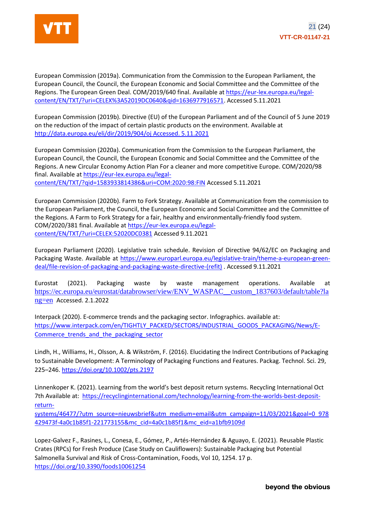

European Commission (2019a). Communication from the Commission to the European Parliament, the European Council, the Council, the European Economic and Social Committee and the Committee of the Regions. The European Green Deal. COM/2019/640 final. Available at [https://eur-lex.europa.eu/legal](https://eur-lex.europa.eu/legal-content/EN/TXT/?uri=CELEX%3A52019DC0640&qid=1636977916571)[content/EN/TXT/?uri=CELEX%3A52019DC0640&qid=1636977916571.](https://eur-lex.europa.eu/legal-content/EN/TXT/?uri=CELEX%3A52019DC0640&qid=1636977916571) Accessed 5.11.2021

European Commission (2019b). Directive (EU) of the European Parliament and of the Council of 5 June 2019 on the reduction of the impact of certain plastic products on the environment. Available at [http://data.europa.eu/eli/dir/2019/904/oj](http://data.europa.eu/eli/dir/2019/904/oj%20Accessed.%205.11.2021) Accessed. 5.11.2021

European Commission (2020a). Communication from the Commission to the European Parliament, the European Council, the Council, the European Economic and Social Committee and the Committee of the Regions. A new Circular Economy Action Plan For a cleaner and more competitive Europe. COM/2020/98 final. Available at [https://eur-lex.europa.eu/legal](https://eur-lex.europa.eu/legal-content/EN/TXT/?qid=1583933814386&uri=COM:2020:98:FIN)[content/EN/TXT/?qid=1583933814386&uri=COM:2020:98:FIN](https://eur-lex.europa.eu/legal-content/EN/TXT/?qid=1583933814386&uri=COM:2020:98:FIN) Accessed 5.11.2021

European Commission (2020b). Farm to Fork Strategy. Available at Communication from the commission to the European Parliament, the Council, the European Economic and Social Committee and the Committee of the Regions. A Farm to Fork Strategy for a fair, healthy and environmentally-friendly food system. COM/2020/381 final. Available a[t https://eur-lex.europa.eu/legal](https://eur-lex.europa.eu/legal-content/EN/TXT/?uri=CELEX:52020DC0381)[content/EN/TXT/?uri=CELEX:52020DC0381](https://eur-lex.europa.eu/legal-content/EN/TXT/?uri=CELEX:52020DC0381) Accessed 9.11.2021

European Parliament (2020). Legislative train schedule. Revision of Directive 94/62/EC on Packaging and Packaging Waste. Available at [https://www.europarl.europa.eu/legislative-train/theme-a-european-green](https://www.europarl.europa.eu/legislative-train/theme-a-european-green-deal/file-revision-of-packaging-and-packaging-waste-directive-(refit))[deal/file-revision-of-packaging-and-packaging-waste-directive-\(refit\)](https://www.europarl.europa.eu/legislative-train/theme-a-european-green-deal/file-revision-of-packaging-and-packaging-waste-directive-(refit)) . Accessed 9.11.2021

Eurostat (2021). Packaging waste by waste management operations. Available at [https://ec.europa.eu/eurostat/databrowser/view/ENV\\_WASPAC\\_\\_custom\\_1837603/default/table?la](https://ec.europa.eu/eurostat/databrowser/view/ENV_WASPAC__custom_1837603/default/table?lang=en) [ng=en](https://ec.europa.eu/eurostat/databrowser/view/ENV_WASPAC__custom_1837603/default/table?lang=en) Accessed. 2.1.2022

Interpack (2020). E-commerce trends and the packaging sector. Infographics. available at: [https://www.interpack.com/en/TIGHTLY\\_PACKED/SECTORS/INDUSTRIAL\\_GOODS\\_PACKAGING/News/E-](https://www.interpack.com/en/TIGHTLY_PACKED/SECTORS/INDUSTRIAL_GOODS_PACKAGING/News/E-Commerce_trends_and_the_packaging_sector)Commerce trends and the packaging sector

Lindh, H., Williams, H., Olsson, A. & Wikström, F. (2016). Elucidating the Indirect Contributions of Packaging to Sustainable Development: A Terminology of Packaging Functions and Features. Packag. Technol. Sci. 29, 225–246.<https://doi.org/10.1002/pts.2197>

Linnenkoper K. (2021). Learning from the world's best deposit return systems. Recycling International Oct 7th Available at: [https://recyclinginternational.com/technology/learning-from-the-worlds-best-deposit](https://recyclinginternational.com/technology/learning-from-the-worlds-best-deposit-return-systems/46477/?utm_source=nieuwsbrief&utm_medium=email&utm_campaign=11/03/2021&goal=0_978429473f-4a0c1b85f1-221773155&mc_cid=4a0c1b85f1&mc_eid=a1bfb9109d)[return-](https://recyclinginternational.com/technology/learning-from-the-worlds-best-deposit-return-systems/46477/?utm_source=nieuwsbrief&utm_medium=email&utm_campaign=11/03/2021&goal=0_978429473f-4a0c1b85f1-221773155&mc_cid=4a0c1b85f1&mc_eid=a1bfb9109d)

[systems/46477/?utm\\_source=nieuwsbrief&utm\\_medium=email&utm\\_campaign=11/03/2021&goal=0\\_978](https://recyclinginternational.com/technology/learning-from-the-worlds-best-deposit-return-systems/46477/?utm_source=nieuwsbrief&utm_medium=email&utm_campaign=11/03/2021&goal=0_978429473f-4a0c1b85f1-221773155&mc_cid=4a0c1b85f1&mc_eid=a1bfb9109d) [429473f-4a0c1b85f1-221773155&mc\\_cid=4a0c1b85f1&mc\\_eid=a1bfb9109d](https://recyclinginternational.com/technology/learning-from-the-worlds-best-deposit-return-systems/46477/?utm_source=nieuwsbrief&utm_medium=email&utm_campaign=11/03/2021&goal=0_978429473f-4a0c1b85f1-221773155&mc_cid=4a0c1b85f1&mc_eid=a1bfb9109d)

Lopez-Galvez F., Rasines, L., Conesa, E., Gómez, P., Artés-Hernández & Aguayo, E. (2021). Reusable Plastic Crates (RPCs) for Fresh Produce (Case Study on Cauliflowers): Sustainable Packaging but Potential Salmonella Survival and Risk of Cross-Contamination, Foods, Vol 10, 1254. 17 p. <https://doi.org/10.3390/foods10061254>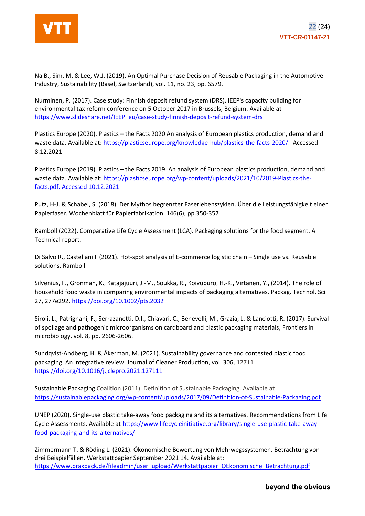

Na B., Sim, M. & Lee, W.J. (2019). An Optimal Purchase Decision of Reusable Packaging in the Automotive Industry, Sustainability (Basel, Switzerland), vol. 11, no. 23, pp. 6579.

Nurminen, P. (2017). Case study: Finnish deposit refund system (DRS). IEEP's capacity building for environmental tax reform conference on 5 October 2017 in Brussels, Belgium. Available at [https://www.slideshare.net/IEEP\\_eu/case-study-finnish-deposit-refund-system-drs](https://www.slideshare.net/IEEP_eu/case-study-finnish-deposit-refund-system-drs)

Plastics Europe (2020). Plastics – the Facts 2020 An analysis of European plastics production, demand and waste data. Available at[: https://plasticseurope.org/knowledge-hub/plastics-the-facts-2020/.](https://plasticseurope.org/knowledge-hub/plastics-the-facts-2020/) Accessed 8.12.2021

Plastics Europe (2019). Plastics – the Facts 2019. An analysis of European plastics production, demand and waste data. Available at[: https://plasticseurope.org/wp-content/uploads/2021/10/2019-Plastics-the](https://plasticseurope.org/wp-content/uploads/2021/10/2019-Plastics-the-facts.pdf.%20Accessed%2010.12.2021)[facts.pdf. Accessed 10.12.2021](https://plasticseurope.org/wp-content/uploads/2021/10/2019-Plastics-the-facts.pdf.%20Accessed%2010.12.2021)

Putz, H-J. & Schabel, S. (2018). Der Mythos begrenzter Faserlebenszyklen. Über die Leistungsfähigkeit einer Papierfaser. Wochenblatt für Papierfabrikation. 146(6), pp.350-357

Ramboll (2022). Comparative Life Cycle Assessment (LCA). Packaging solutions for the food segment. A Technical report.

Di Salvo R., Castellani F (2021). Hot-spot analysis of E-commerce logistic chain – Single use vs. Reusable solutions, Ramboll

Silvenius, F., Gronman, K., Katajajuuri, J.-M., Soukka, R., Koivupuro, H.-K., Virtanen, Y., (2014). The role of household food waste in comparing environmental impacts of packaging alternatives. Packag. Technol. Sci. 27, 277e292. <https://doi.org/10.1002/pts.2032>

Siroli, L., Patrignani, F., Serrazanetti, D.I., Chiavari, C., Benevelli, M., Grazia, L. & Lanciotti, R. (2017). Survival of spoilage and pathogenic microorganisms on cardboard and plastic packaging materials, Frontiers in microbiology, vol. 8, pp. 2606-2606.

Sundqvist-Andberg, H. & Åkerman, M. (2021). Sustainability governance and contested plastic food packaging. An integrative review. Journal of Cleaner Production, vol. 306, 12711 <https://doi.org/10.1016/j.jclepro.2021.127111>

Sustainable Packaging Coalition (2011). Definition of Sustainable Packaging. Available at <https://sustainablepackaging.org/wp-content/uploads/2017/09/Definition-of-Sustainable-Packaging.pdf>

UNEP (2020). Single-use plastic take-away food packaging and its alternatives. Recommendations from Life Cycle Assessments. Available at [https://www.lifecycleinitiative.org/library/single-use-plastic-take-away](https://www.lifecycleinitiative.org/library/single-use-plastic-take-away-food-packaging-and-its-alternatives/)[food-packaging-and-its-alternatives/](https://www.lifecycleinitiative.org/library/single-use-plastic-take-away-food-packaging-and-its-alternatives/) 

Zimmermann T. & Röding L. (2021). Ökonomische Bewertung von Mehrwegssystemen. Betrachtung von drei Beispielfällen. Werkstattpapier September 2021 14. Available at: [https://www.praxpack.de/fileadmin/user\\_upload/Werkstattpapier\\_OEkonomische\\_Betrachtung.pdf](https://www.praxpack.de/fileadmin/user_upload/Werkstattpapier_OEkonomische_Betrachtung.pdf)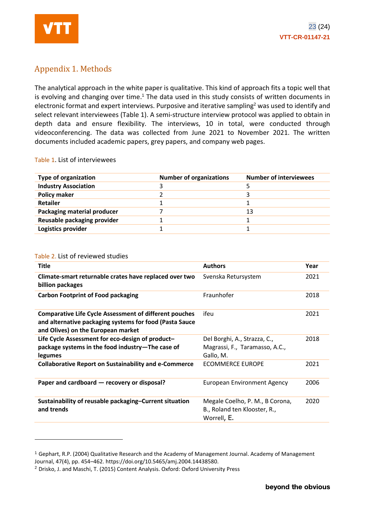

### Appendix 1. Methods

The analytical approach in the white paper is qualitative. This kind of approach fits a topic well that is evolving and changing over time.<sup>1</sup> The data used in this study consists of written documents in electronic format and expert interviews. Purposive and iterative sampling<sup>2</sup> was used to identify and select relevant interviewees (Table 1). A semi-structure interview protocol was applied to obtain in depth data and ensure flexibility. The interviews, 10 in total, were conducted through videoconferencing. The data was collected from June 2021 to November 2021. The written documents included academic papers, grey papers, and company web pages.

#### Table 1. List of interviewees

| <b>Type of organization</b> | <b>Number of organizations</b> | <b>Number of interviewees</b> |
|-----------------------------|--------------------------------|-------------------------------|
| <b>Industry Association</b> |                                |                               |
| <b>Policy maker</b>         |                                |                               |
| <b>Retailer</b>             |                                |                               |
| Packaging material producer |                                | 13                            |
| Reusable packaging provider |                                |                               |
| Logistics provider          |                                |                               |

#### Table 2. List of reviewed studies

| <b>Authors</b>                                                                 | Year |
|--------------------------------------------------------------------------------|------|
| Svenska Retursystem                                                            | 2021 |
| Fraunhofer                                                                     | 2018 |
| ifeu                                                                           | 2021 |
| Del Borghi, A., Strazza, C.,<br>Magrassi, F., Taramasso, A.C.,<br>Gallo, M.    | 2018 |
| <b>ECOMMERCE EUROPE</b>                                                        | 2021 |
| <b>European Environment Agency</b>                                             | 2006 |
| Megale Coelho, P. M., B Corona,<br>B., Roland ten Klooster, R.,<br>Worrell, E. | 2020 |
|                                                                                |      |

<sup>1</sup> Gephart, R.P. (2004) Qualitative Research and the Academy of Management Journal. Academy of Management Journal, 47(4), pp. 454–462. https://doi.org/10.5465/amj.2004.14438580.

<sup>2</sup> Drisko, J. and Maschi, T. (2015) Content Analysis. Oxford: Oxford University Press